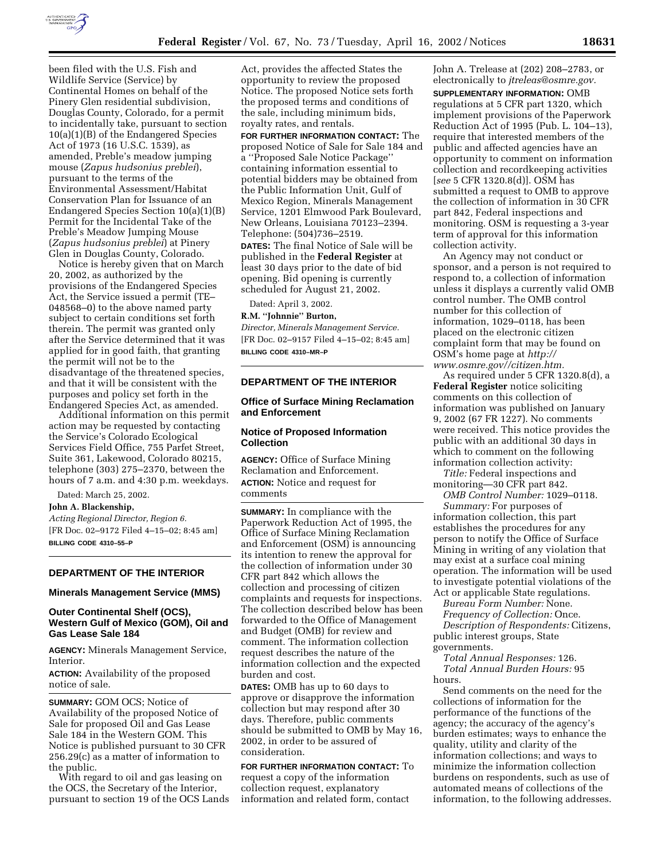

been filed with the U.S. Fish and Wildlife Service (Service) by Continental Homes on behalf of the Pinery Glen residential subdivision, Douglas County, Colorado, for a permit to incidentally take, pursuant to section 10(a)(1)(B) of the Endangered Species Act of 1973 (16 U.S.C. 1539), as amended, Preble's meadow jumping mouse (*Zapus hudsonius preblei*), pursuant to the terms of the Environmental Assessment/Habitat Conservation Plan for Issuance of an Endangered Species Section 10(a)(1)(B) Permit for the Incidental Take of the Preble's Meadow Jumping Mouse (*Zapus hudsonius preblei*) at Pinery Glen in Douglas County, Colorado.

Notice is hereby given that on March 20, 2002, as authorized by the provisions of the Endangered Species Act, the Service issued a permit (TE– 048568–0) to the above named party subject to certain conditions set forth therein. The permit was granted only after the Service determined that it was applied for in good faith, that granting the permit will not be to the disadvantage of the threatened species, and that it will be consistent with the purposes and policy set forth in the Endangered Species Act, as amended.

Additional information on this permit action may be requested by contacting the Service's Colorado Ecological Services Field Office, 755 Parfet Street, Suite 361, Lakewood, Colorado 80215, telephone (303) 275–2370, between the hours of 7 a.m. and 4:30 p.m. weekdays.

Dated: March 25, 2002.

# **John A. Blackenship,**

*Acting Regional Director, Region 6.* [FR Doc. 02–9172 Filed 4–15–02; 8:45 am] **BILLING CODE 4310–55–P**

# **DEPARTMENT OF THE INTERIOR**

#### **Minerals Management Service (MMS)**

#### **Outer Continental Shelf (OCS), Western Gulf of Mexico (GOM), Oil and Gas Lease Sale 184**

**AGENCY:** Minerals Management Service, Interior.

**ACTION:** Availability of the proposed notice of sale.

**SUMMARY:** GOM OCS; Notice of Availability of the proposed Notice of Sale for proposed Oil and Gas Lease Sale 184 in the Western GOM. This Notice is published pursuant to 30 CFR 256.29(c) as a matter of information to the public.

With regard to oil and gas leasing on the OCS, the Secretary of the Interior, pursuant to section 19 of the OCS Lands

Act, provides the affected States the opportunity to review the proposed Notice. The proposed Notice sets forth the proposed terms and conditions of the sale, including minimum bids, royalty rates, and rentals.

**FOR FURTHER INFORMATION CONTACT:** The proposed Notice of Sale for Sale 184 and a ''Proposed Sale Notice Package'' containing information essential to potential bidders may be obtained from the Public Information Unit, Gulf of Mexico Region, Minerals Management Service, 1201 Elmwood Park Boulevard, New Orleans, Louisiana 70123–2394. Telephone: (504)736–2519. **DATES:** The final Notice of Sale will be

published in the **Federal Register** at least 30 days prior to the date of bid opening. Bid opening is currently scheduled for August 21, 2002.

Dated: April 3, 2002.

**R.M. ''Johnnie'' Burton,**

*Director, Minerals Management Service.* [FR Doc. 02–9157 Filed 4–15–02; 8:45 am] **BILLING CODE 4310–MR–P**

# **DEPARTMENT OF THE INTERIOR**

# **Office of Surface Mining Reclamation and Enforcement**

#### **Notice of Proposed Information Collection**

**AGENCY:** Office of Surface Mining Reclamation and Enforcement. **ACTION:** Notice and request for comments

**SUMMARY:** In compliance with the Paperwork Reduction Act of 1995, the Office of Surface Mining Reclamation and Enforcement (OSM) is announcing its intention to renew the approval for the collection of information under 30 CFR part 842 which allows the collection and processing of citizen complaints and requests for inspections. The collection described below has been forwarded to the Office of Management and Budget (OMB) for review and comment. The information collection request describes the nature of the information collection and the expected burden and cost.

**DATES:** OMB has up to 60 days to approve or disapprove the information collection but may respond after 30 days. Therefore, public comments should be submitted to OMB by May 16, 2002, in order to be assured of consideration.

# **FOR FURTHER INFORMATION CONTACT:** To request a copy of the information

collection request, explanatory information and related form, contact John A. Trelease at (202) 208–2783, or electronically to *jtreleas@osmre.gov.*

**SUPPLEMENTARY INFORMATION:** OMB regulations at 5 CFR part 1320, which implement provisions of the Paperwork Reduction Act of 1995 (Pub. L. 104–13), require that interested members of the public and affected agencies have an opportunity to comment on information collection and recordkeeping activities [*see* 5 CFR 1320.8(d)]. OSM has submitted a request to OMB to approve the collection of information in 30 CFR part 842, Federal inspections and monitoring. OSM is requesting a 3-year term of approval for this information collection activity.

An Agency may not conduct or sponsor, and a person is not required to respond to, a collection of information unless it displays a currently valid OMB control number. The OMB control number for this collection of information, 1029–0118, has been placed on the electronic citizen complaint form that may be found on OSM's home page at *http:// www.osmre.gov//citizen.htm.*

As required under 5 CFR 1320.8(d), a **Federal Register** notice soliciting comments on this collection of information was published on January 9, 2002 (67 FR 1227). No comments were received. This notice provides the public with an additional 30 days in which to comment on the following information collection activity:

*Title:* Federal inspections and monitoring—30 CFR part 842.

*OMB Control Number:* 1029–0118. *Summary:* For purposes of information collection, this part establishes the procedures for any person to notify the Office of Surface Mining in writing of any violation that may exist at a surface coal mining operation. The information will be used to investigate potential violations of the

Act or applicable State regulations. *Bureau Form Number:* None. *Frequency of Collection:* Once.

*Description of Respondents:* Citizens, public interest groups, State governments.

*Total Annual Responses:* 126. *Total Annual Burden Hours:* 95 hours.

Send comments on the need for the collections of information for the performance of the functions of the agency; the accuracy of the agency's burden estimates; ways to enhance the quality, utility and clarity of the information collections; and ways to minimize the information collection burdens on respondents, such as use of automated means of collections of the information, to the following addresses.